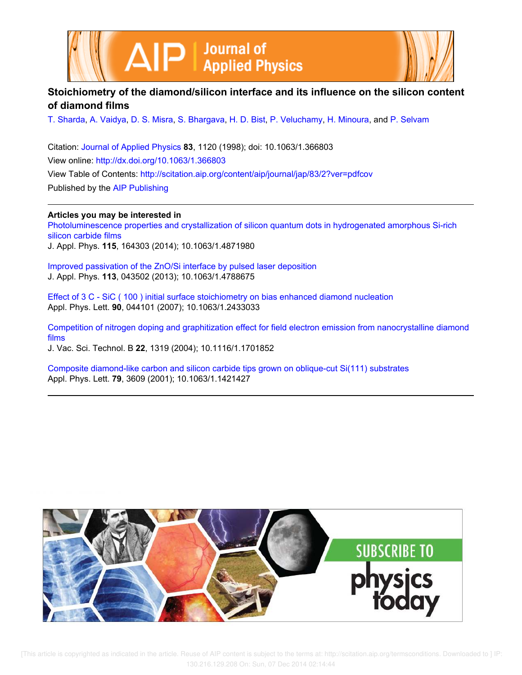



# **Stoichiometry of the diamond/silicon interface and its influence on the silicon content of diamond films**

T. Sharda, A. Vaidya, D. S. Misra, S. Bhargava, H. D. Bist, P. Veluchamy, H. Minoura, and P. Selvam

Citation: Journal of Applied Physics **83**, 1120 (1998); doi: 10.1063/1.366803 View online: http://dx.doi.org/10.1063/1.366803 View Table of Contents: http://scitation.aip.org/content/aip/journal/jap/83/2?ver=pdfcov Published by the AIP Publishing

**Articles you may be interested in**

Photoluminescence properties and crystallization of silicon quantum dots in hydrogenated amorphous Si-rich silicon carbide films

J. Appl. Phys. **115**, 164303 (2014); 10.1063/1.4871980

Improved passivation of the ZnO/Si interface by pulsed laser deposition J. Appl. Phys. **113**, 043502 (2013); 10.1063/1.4788675

Effect of 3 C - SiC ( 100 ) initial surface stoichiometry on bias enhanced diamond nucleation Appl. Phys. Lett. **90**, 044101 (2007); 10.1063/1.2433033

Competition of nitrogen doping and graphitization effect for field electron emission from nanocrystalline diamond films J. Vac. Sci. Technol. B **22**, 1319 (2004); 10.1116/1.1701852

Composite diamond-like carbon and silicon carbide tips grown on oblique-cut Si(111) substrates Appl. Phys. Lett. **79**, 3609 (2001); 10.1063/1.1421427

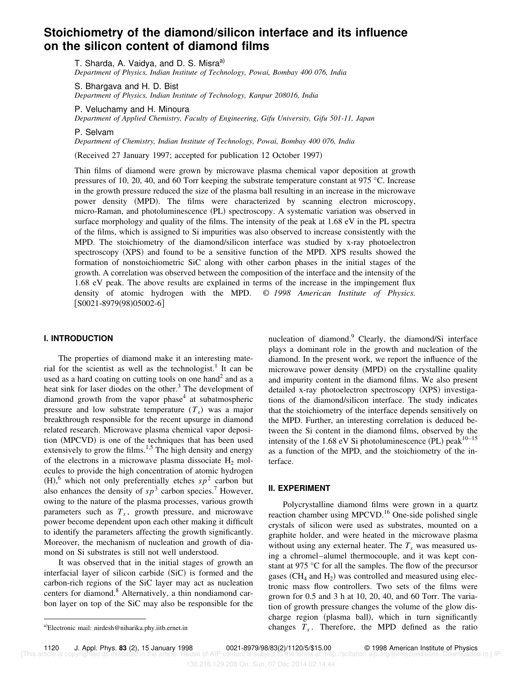# **Stoichiometry of the diamond/silicon interface and its influence on the silicon content of diamond films**

T. Sharda, A. Vaidya, and D. S. Misra<sup>a)</sup> *Department of Physics, Indian Institute of Technology, Powai, Bombay 400 076, India*

S. Bhargava and H. D. Bist *Department of Physics, Indian Institute of Technology, Kanpur 208016, India*

P. Veluchamy and H. Minoura *Department of Applied Chemistry, Faculty of Engineering, Gifu University, Gifu 501-11, Japan*

P. Selvam

*Department of Chemistry, Indian Institute of Technology, Powai, Bombay 400 076, India*

(Received 27 January 1997; accepted for publication 12 October 1997)

Thin films of diamond were grown by microwave plasma chemical vapor deposition at growth pressures of 10, 20, 40, and 60 Torr keeping the substrate temperature constant at 975 °C. Increase in the growth pressure reduced the size of the plasma ball resulting in an increase in the microwave power density (MPD). The films were characterized by scanning electron microscopy, micro-Raman, and photoluminescence (PL) spectroscopy. A systematic variation was observed in surface morphology and quality of the films. The intensity of the peak at 1.68 eV in the PL spectra of the films, which is assigned to Si impurities was also observed to increase consistently with the MPD. The stoichiometry of the diamond/silicon interface was studied by x-ray photoelectron spectroscopy (XPS) and found to be a sensitive function of the MPD. XPS results showed the formation of nonstoichiometric SiC along with other carbon phases in the initial stages of the growth. A correlation was observed between the composition of the interface and the intensity of the 1.68 eV peak. The above results are explained in terms of the increase in the impingement flux density of atomic hydrogen with the MPD. © *1998 American Institute of Physics.*  $[$ S0021-8979(98)05002-6]

# **I. INTRODUCTION**

The properties of diamond make it an interesting material for the scientist as well as the technologist.<sup>1</sup> It can be used as a hard coating on cutting tools on one hand<sup>2</sup> and as a heat sink for laser diodes on the other.<sup>3</sup> The development of diamond growth from the vapor phase<sup>4</sup> at subatmospheric pressure and low substrate temperature (*T<sup>s</sup>* ) was a major breakthrough responsible for the recent upsurge in diamond related research. Microwave plasma chemical vapor deposition (MPCVD) is one of the techniques that has been used extensively to grow the films.<sup>1,5</sup> The high density and energy of the electrons in a microwave plasma dissociate  $H_2$  molecules to provide the high concentration of atomic hydrogen  $(H)$ , which not only preferentially etches  $sp^2$  carbon but also enhances the density of  $sp^3$  carbon species.<sup>7</sup> However, owing to the nature of the plasma processes, various growth parameters such as *T<sup>s</sup>* , growth pressure, and microwave power become dependent upon each other making it difficult to identify the parameters affecting the growth significantly. Moreover, the mechanism of nucleation and growth of diamond on Si substrates is still not well understood.

It was observed that in the initial stages of growth an interfacial layer of silicon carbide  $(SiC)$  is formed and the carbon-rich regions of the SiC layer may act as nucleation centers for diamond.<sup>8</sup> Alternatively, a thin nondiamond carbon layer on top of the SiC may also be responsible for the nucleation of diamond.<sup>9</sup> Clearly, the diamond/Si interface plays a dominant role in the growth and nucleation of the diamond. In the present work, we report the influence of the microwave power density (MPD) on the crystalline quality and impurity content in the diamond films. We also present detailed x-ray photoelectron spectroscopy (XPS) investigations of the diamond/silicon interface. The study indicates that the stoichiometry of the interface depends sensitively on the MPD. Further, an interesting correlation is deduced between the Si content in the diamond films, observed by the intensity of the 1.68 eV Si photoluminescence (PL) peak<sup>10–15</sup> as a function of the MPD, and the stoichiometry of the interface.

## **II. EXPERIMENT**

Polycrystalline diamond films were grown in a quartz reaction chamber using MPCVD.<sup>16</sup> One-side polished single crystals of silicon were used as substrates, mounted on a graphite holder, and were heated in the microwave plasma without using any external heater. The  $T_s$  was measured using a chromel–alumel thermocouple, and it was kept constant at 975 °C for all the samples. The flow of the precursor gases ( $CH_4$  and  $H_2$ ) was controlled and measured using electronic mass flow controllers. Two sets of the films were grown for 0.5 and 3 h at 10, 20, 40, and 60 Torr. The variation of growth pressure changes the volume of the glow discharge region (plasma ball), which in turn significantly a)Electronic mail: nirdesh@niharika.phy.iitb.ernet.in changes *T<sub>s</sub>*. Therefore, the MPD defined as the ratio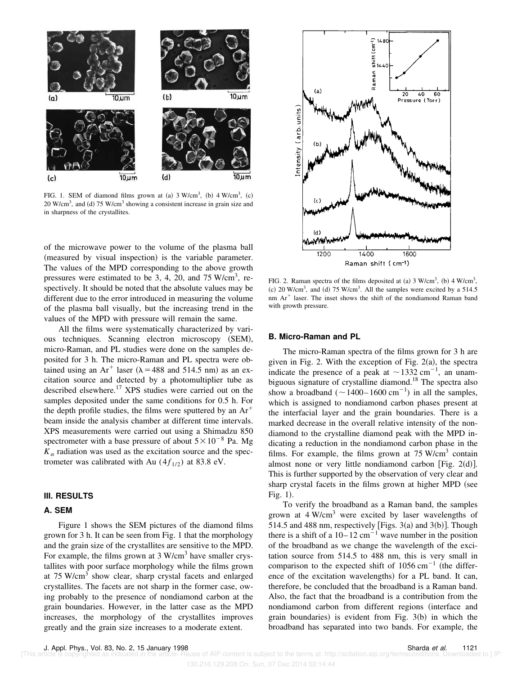

FIG. 1. SEM of diamond films grown at (a)  $3 \text{ W/cm}^3$ , (b)  $4 \text{ W/cm}^3$ , (c)  $20$  W/cm<sup>3</sup>, and (d)  $75$  W/cm<sup>3</sup> showing a consistent increase in grain size and in sharpness of the crystallites.

of the microwave power to the volume of the plasma ball (measured by visual inspection) is the variable parameter. The values of the MPD corresponding to the above growth pressures were estimated to be 3, 4, 20, and 75 W/cm<sup>3</sup>, respectively. It should be noted that the absolute values may be different due to the error introduced in measuring the volume of the plasma ball visually, but the increasing trend in the values of the MPD with pressure will remain the same.

All the films were systematically characterized by various techniques. Scanning electron microscopy (SEM), micro-Raman, and PL studies were done on the samples deposited for 3 h. The micro-Raman and PL spectra were obtained using an Ar<sup>+</sup> laser ( $\lambda$  = 488 and 514.5 nm) as an excitation source and detected by a photomultiplier tube as described elsewhere.<sup>17</sup> XPS studies were carried out on the samples deposited under the same conditions for 0.5 h. For the depth profile studies, the films were sputtered by an  $Ar^+$ beam inside the analysis chamber at different time intervals. XPS measurements were carried out using a Shimadzu 850 spectrometer with a base pressure of about  $5 \times 10^{-8}$  Pa. Mg  $K_{\alpha}$  radiation was used as the excitation source and the spectrometer was calibrated with Au  $(4f_{1/2})$  at 83.8 eV.

#### **III. RESULTS**

# **A. SEM**

Figure 1 shows the SEM pictures of the diamond films grown for 3 h. It can be seen from Fig. 1 that the morphology and the grain size of the crystallites are sensitive to the MPD. For example, the films grown at 3 W/cm<sup>3</sup> have smaller crystallites with poor surface morphology while the films grown at 75 W/cm<sup>3</sup> show clear, sharp crystal facets and enlarged crystallites. The facets are not sharp in the former case, owing probably to the presence of nondiamond carbon at the grain boundaries. However, in the latter case as the MPD increases, the morphology of the crystallites improves greatly and the grain size increases to a moderate extent.



FIG. 2. Raman spectra of the films deposited at (a)  $3 \text{ W/cm}^3$ , (b)  $4 \text{ W/cm}^3$ , (c)  $20$  W/cm<sup>3</sup>, and (d)  $75$  W/cm<sup>3</sup>. All the samples were excited by a  $514.5$ nm Ar<sup>+</sup> laser. The inset shows the shift of the nondiamond Raman band with growth pressure.

#### **B. Micro-Raman and PL**

The micro-Raman spectra of the films grown for 3 h are given in Fig. 2. With the exception of Fig.  $2(a)$ , the spectra indicate the presence of a peak at  $\sim$ 1332 cm<sup>-1</sup>, an unambiguous signature of crystalline diamond.<sup>18</sup> The spectra also show a broadband  $({\sim}1400-1600 \text{ cm}^{-1})$  in all the samples, which is assigned to nondiamond carbon phases present at the interfacial layer and the grain boundaries. There is a marked decrease in the overall relative intensity of the nondiamond to the crystalline diamond peak with the MPD indicating a reduction in the nondiamond carbon phase in the films. For example, the films grown at  $75$  W/cm<sup>3</sup> contain almost none or very little nondiamond carbon [Fig. 2(d)]. This is further supported by the observation of very clear and sharp crystal facets in the films grown at higher MPD (see Fig.  $1$ ).

To verify the broadband as a Raman band, the samples grown at  $4 W/cm<sup>3</sup>$  were excited by laser wavelengths of 514.5 and 488 nm, respectively [Figs. 3(a) and 3(b)]. Though there is a shift of a  $10-12$  cm<sup>-1</sup> wave number in the position of the broadband as we change the wavelength of the excitation source from 514.5 to 488 nm, this is very small in comparison to the expected shift of  $1056 \text{ cm}^{-1}$  (the difference of the excitation wavelengths) for a PL band. It can, therefore, be concluded that the broadband is a Raman band. Also, the fact that the broadband is a contribution from the nondiamond carbon from different regions (interface and grain boundaries) is evident from Fig.  $3(b)$  in which the broadband has separated into two bands. For example, the

130.216.129.208 On: Sun, 07 Dec 2014 02:14:44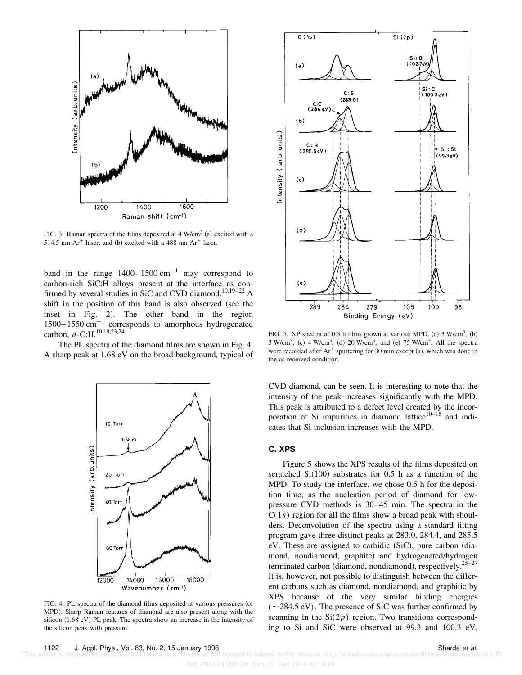

FIG. 3. Raman spectra of the films deposited at  $4 \text{ W/cm}^3$  (a) excited with a 514.5 nm Ar<sup>+</sup> laser, and (b) excited with a 488 nm Ar<sup>+</sup> laser.

band in the range  $1400-1500 \text{ cm}^{-1}$  may correspond to carbon-rich SiC:H alloys present at the interface as confirmed by several studies in SiC and CVD diamond.<sup>10,19-22</sup> A shift in the position of this band is also observed (see the inset in Fig. 2). The other band in the region  $1500-1550$  cm<sup>-1</sup> corresponds to amorphous hydrogenated carbon, *a*-C:H.<sup>10,19,23,24</sup>

The PL spectra of the diamond films are shown in Fig. 4. A sharp peak at 1.68 eV on the broad background, typical of



FIG. 4. PL spectra of the diamond films deposited at various pressures (or MPD). Sharp Raman features of diamond are also present along with the silicon  $(1.68 \text{ eV})$  PL peak. The spectra show an increase in the intensity of the silicon peak with pressure.



FIG. 5. XP spectra of 0.5 h films grown at various MPD. (a)  $3$  W/cm<sup>3</sup>, (b)  $3 \text{ W/cm}^3$ , (c)  $4 \text{ W/cm}^3$ , (d)  $20 \text{ W/cm}^3$ , and (e)  $75 \text{ W/cm}^3$ . All the spectra were recorded after  $Ar^+$  sputtering for 30 min except (a), which was done in the as-received condition.

CVD diamond, can be seen. It is interesting to note that the intensity of the peak increases significantly with the MPD. This peak is attributed to a defect level created by the incorporation of Si impurities in diamond lattice $10^{-15}$  and indicates that Si inclusion increases with the MPD.

## **C. XPS**

Figure 5 shows the XPS results of the films deposited on scratched  $Si(100)$  substrates for 0.5 h as a function of the MPD. To study the interface, we chose 0.5 h for the deposition time, as the nucleation period of diamond for lowpressure CVD methods is 30–45 min. The spectra in the  $C(1s)$  region for all the films show a broad peak with shoulders. Deconvolution of the spectra using a standard fitting program gave three distinct peaks at 283.0, 284.4, and 285.5  $eV$ . These are assigned to carbidic  $(SiC)$ , pure carbon  $(dia$ mond, nondiamond, graphite) and hydrogenated/hydrogen terminated carbon (diamond, nondiamond), respectively.<sup>25–27</sup> It is, however, not possible to distinguish between the different carbons such as diamond, nondiamond, and graphitic by XPS because of the very similar binding energies  $(\sim 284.5 \text{ eV})$ . The presence of SiC was further confirmed by scanning in the  $Si(2p)$  region. Two transitions corresponding to Si and SiC were observed at 99.3 and 100.3 eV,

content is subject to the terms at: http://scitation.aip.org/termsconditions. Downloaded to ] IP: 130.216.129.208 On: Sun, 07 Dec 2014 02:14:44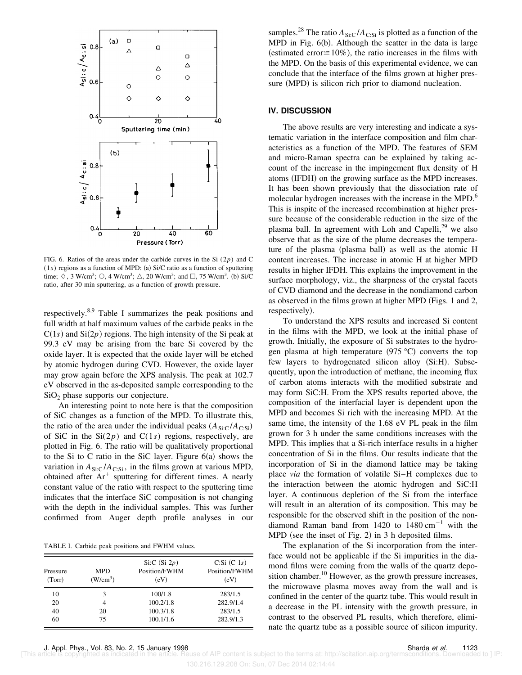

FIG. 6. Ratios of the areas under the carbide curves in the Si  $(2p)$  and C  $(1s)$  regions as a function of MPD: (a) Si/C ratio as a function of sputtering time;  $\Diamond$ , 3 W/cm<sup>3</sup>;  $\Diamond$ , 4 W/cm<sup>3</sup>;  $\triangle$ , 20 W/cm<sup>3</sup>; and  $\Box$ , 75 W/cm<sup>3</sup>. (b) Si/C ratio, after 30 min sputtering, as a function of growth pressure.

respectively.8,9 Table I summarizes the peak positions and full width at half maximum values of the carbide peaks in the  $C(1s)$  and  $Si(2p)$  regions. The high intensity of the Si peak at 99.3 eV may be arising from the bare Si covered by the oxide layer. It is expected that the oxide layer will be etched by atomic hydrogen during CVD. However, the oxide layer may grow again before the XPS analysis. The peak at 102.7 eV observed in the as-deposited sample corresponding to the  $SiO<sub>2</sub>$  phase supports our conjecture.

An interesting point to note here is that the composition of SiC changes as a function of the MPD. To illustrate this, the ratio of the area under the individual peaks  $(A_{\text{Si:C}}/A_{\text{Csi}})$ of SiC in the  $Si(2p)$  and  $C(1s)$  regions, respectively, are plotted in Fig. 6. The ratio will be qualitatively proportional to the Si to C ratio in the SiC layer. Figure  $6(a)$  shows the variation in  $A_{\text{Si:C}}/A_{\text{C:Si}}$ , in the films grown at various MPD, obtained after  $Ar^+$  sputtering for different times. A nearly constant value of the ratio with respect to the sputtering time indicates that the interface SiC composition is not changing with the depth in the individual samples. This was further confirmed from Auger depth profile analyses in our

TABLE I. Carbide peak positions and FWHM values.

| Pressure<br>(Torr) | <b>MPD</b><br>(W/cm <sup>3</sup> ) | Si:C $(Si 2p)$<br>Position/FWHM<br>(eV) | $C:Si(C_1s)$<br>Position/FWHM<br>(eV) |
|--------------------|------------------------------------|-----------------------------------------|---------------------------------------|
| 10                 | 3                                  | 100/1.8                                 | 283/1.5                               |
| 20                 | 4                                  | 100.2/1.8                               | 282.9/1.4                             |
| 40                 | 20                                 | 100.3/1.8                               | 283/1.5                               |
| 60                 | 75                                 | 100.1/1.6                               | 282.9/1.3                             |

samples.<sup>28</sup> The ratio  $A_{\text{Si:C}}/A_{\text{C:Si}}$  is plotted as a function of the MPD in Fig.  $6(b)$ . Although the scatter in the data is large (estimated error $\approx 10\%$ ), the ratio increases in the films with the MPD. On the basis of this experimental evidence, we can conclude that the interface of the films grown at higher pressure (MPD) is silicon rich prior to diamond nucleation.

### **IV. DISCUSSION**

The above results are very interesting and indicate a systematic variation in the interface composition and film characteristics as a function of the MPD. The features of SEM and micro-Raman spectra can be explained by taking account of the increase in the impingement flux density of H atoms (IFDH) on the growing surface as the MPD increases. It has been shown previously that the dissociation rate of molecular hydrogen increases with the increase in the MPD.<sup>6</sup> This is inspite of the increased recombination at higher pressure because of the considerable reduction in the size of the plasma ball. In agreement with Loh and Capelli, $29$  we also observe that as the size of the plume decreases the temperature of the plasma (plasma ball) as well as the atomic H content increases. The increase in atomic H at higher MPD results in higher IFDH. This explains the improvement in the surface morphology, viz., the sharpness of the crystal facets of CVD diamond and the decrease in the nondiamond carbon as observed in the films grown at higher MPD  $(Figs. 1$  and 2, respectively).

To understand the XPS results and increased Si content in the films with the MPD, we look at the initial phase of growth. Initially, the exposure of Si substrates to the hydrogen plasma at high temperature  $(975 °C)$  converts the top few layers to hydrogenated silicon alloy (Si:H). Subsequently, upon the introduction of methane, the incoming flux of carbon atoms interacts with the modified substrate and may form SiC:H. From the XPS results reported above, the composition of the interfacial layer is dependent upon the MPD and becomes Si rich with the increasing MPD. At the same time, the intensity of the 1.68 eV PL peak in the film grown for 3 h under the same conditions increases with the MPD. This implies that a Si-rich interface results in a higher concentration of Si in the films. Our results indicate that the incorporation of Si in the diamond lattice may be taking place *via* the formation of volatile Si–H complexes due to the interaction between the atomic hydrogen and SiC:H layer. A continuous depletion of the Si from the interface will result in an alteration of its composition. This may be responsible for the observed shift in the position of the nondiamond Raman band from  $1420$  to  $1480 \text{ cm}^{-1}$  with the  $MPD$  (see the inset of Fig. 2) in 3 h deposited films.

The explanation of the Si incorporation from the interface would not be applicable if the Si impurities in the diamond films were coming from the walls of the quartz deposition chamber.<sup>10</sup> However, as the growth pressure increases, the microwave plasma moves away from the wall and is confined in the center of the quartz tube. This would result in a decrease in the PL intensity with the growth pressure, in contrast to the observed PL results, which therefore, eliminate the quartz tube as a possible source of silicon impurity.

of AIP content is subject to the terms at: http://scitation.aip.org/termsconditions. Downloaded to ] IP: 130.216.129.208 On: Sun, 07 Dec 2014 02:14:44